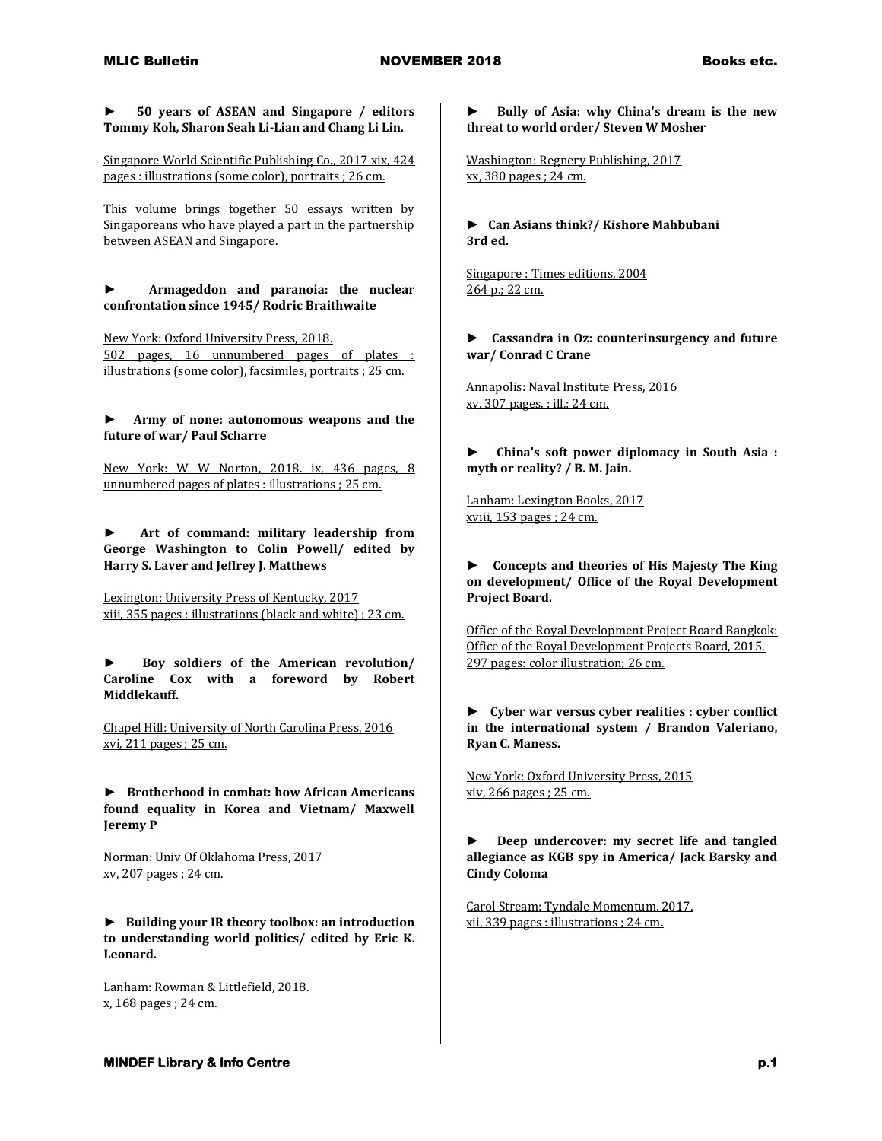**► 50 years of ASEAN and Singapore / editors Tommy Koh, Sharon Seah Li-Lian and Chang Li Lin.**

Singapore World Scientific Publishing Co., 2017 xix, 424 pages : illustrations (some color), portraits ; 26 cm.

This volume brings together 50 essays written by Singaporeans who have played a part in the partnership between ASEAN and Singapore.

**► Armageddon and paranoia: the nuclear confrontation since 1945/ Rodric Braithwaite**

New York: Oxford University Press, 2018. 502 pages, 16 unnumbered pages of plates : illustrations (some color), facsimiles, portraits ; 25 cm.

**► Army of none: autonomous weapons and the future of war/ Paul Scharre**

New York: W W Norton, 2018. ix, 436 pages, 8 unnumbered pages of plates : illustrations ; 25 cm.

**► Art of command: military leadership from George Washington to Colin Powell/ edited by Harry S. Laver and Jeffrey J. Matthews**

Lexington: University Press of Kentucky, 2017 xiii, 355 pages : illustrations (black and white) ; 23 cm.

**► Boy soldiers of the American revolution/ Caroline Cox with a foreword by Robert Middlekauff.**

Chapel Hill: University of North Carolina Press, 2016 xvi, 211 pages ; 25 cm.

**► Brotherhood in combat: how African Americans found equality in Korea and Vietnam/ Maxwell Jeremy P**

Norman: Univ Of Oklahoma Press, 2017 xv, 207 pages ; 24 cm.

**► Building your IR theory toolbox: an introduction to understanding world politics/ edited by Eric K. Leonard.**

Lanham: Rowman & Littlefield, 2018. x, 168 pages ; 24 cm.

**► Bully of Asia: why China's dream is the new threat to world order/ Steven W Mosher**

Washington: Regnery Publishing, 2017 xx, 380 pages ; 24 cm.

**► Can Asians think?/ Kishore Mahbubani 3rd ed.**

Singapore : Times editions, 2004 264 p.; 22 cm.

**► Cassandra in Oz: counterinsurgency and future war/ Conrad C Crane**

Annapolis: Naval Institute Press, 2016 xv, 307 pages. : ill.; 24 cm.

**► China's soft power diplomacy in South Asia : myth or reality? / B. M. Jain.**

Lanham: Lexington Books, 2017 xviii, 153 pages ; 24 cm.

**► Concepts and theories of His Majesty The King on development/ Office of the Royal Development Project Board.**

Office of the Royal Development Project Board Bangkok: Office of the Royal Development Projects Board, 2015. 297 pages: color illustration; 26 cm.

**► Cyber war versus cyber realities : cyber conflict in the international system / Brandon Valeriano, Ryan C. Maness.**

New York: Oxford University Press, 2015 xiv, 266 pages ; 25 cm.

**► Deep undercover: my secret life and tangled allegiance as KGB spy in America/ Jack Barsky and Cindy Coloma**

Carol Stream: Tyndale Momentum, 2017. xii, 339 pages : illustrations ; 24 cm.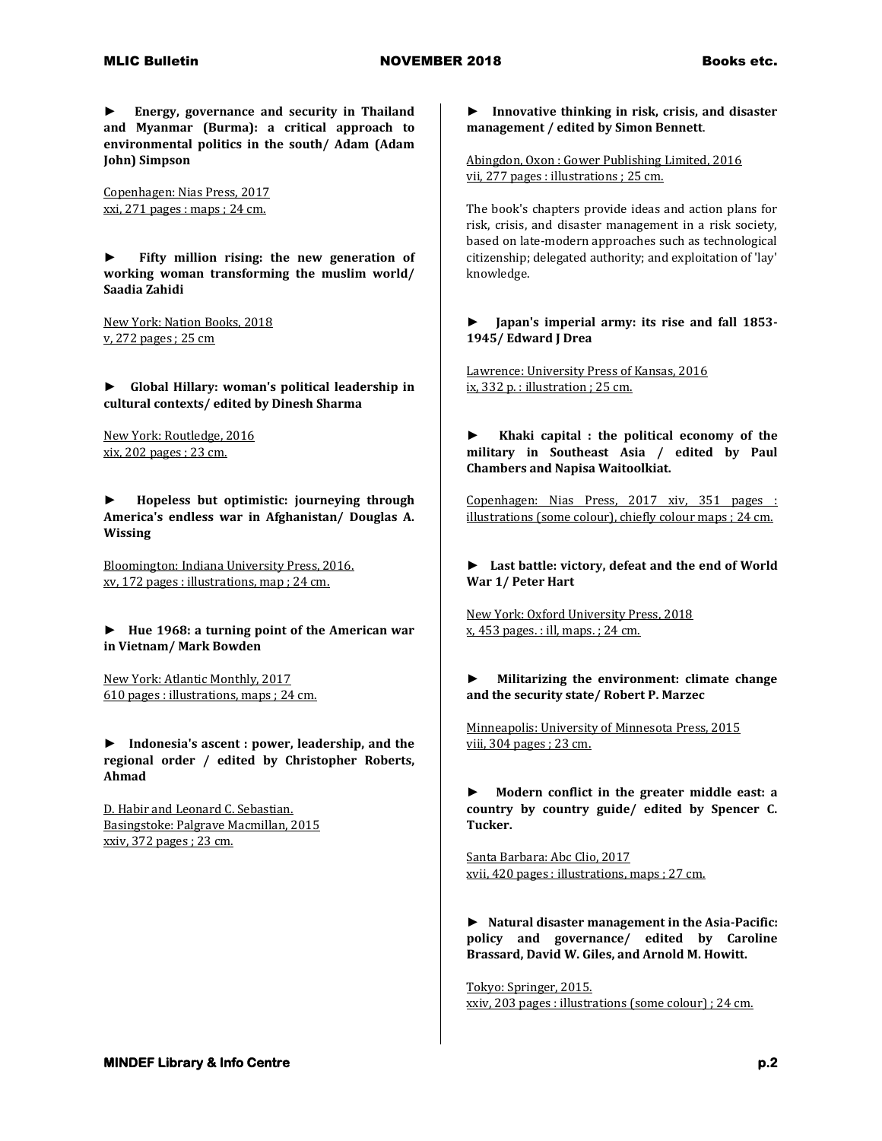**► Energy, governance and security in Thailand and Myanmar (Burma): a critical approach to environmental politics in the south/ Adam (Adam John) Simpson**

Copenhagen: Nias Press, 2017 xxi, 271 pages : maps ; 24 cm.

**► Fifty million rising: the new generation of working woman transforming the muslim world/ Saadia Zahidi**

New York: Nation Books, 2018 v, 272 pages ; 25 cm

**► Global Hillary: woman's political leadership in cultural contexts/ edited by Dinesh Sharma**

New York: Routledge, 2016 xix, 202 pages ; 23 cm.

**► Hopeless but optimistic: journeying through America's endless war in Afghanistan/ Douglas A. Wissing**

Bloomington: Indiana University Press, 2016. xv, 172 pages : illustrations, map ; 24 cm.

**► Hue 1968: a turning point of the American war in Vietnam/ Mark Bowden**

New York: Atlantic Monthly, 2017 610 pages : illustrations, maps ; 24 cm.

**► Indonesia's ascent : power, leadership, and the regional order / edited by Christopher Roberts, Ahmad** 

D. Habir and Leonard C. Sebastian. Basingstoke: Palgrave Macmillan, 2015 xxiv, 372 pages ; 23 cm.

**► Innovative thinking in risk, crisis, and disaster management / edited by Simon Bennett**.

Abingdon, Oxon : Gower Publishing Limited, 2016 vii, 277 pages : illustrations ; 25 cm.

The book's chapters provide ideas and action plans for risk, crisis, and disaster management in a risk society, based on late-modern approaches such as technological citizenship; delegated authority; and exploitation of 'lay' knowledge.

## **► Japan's imperial army: its rise and fall 1853- 1945/ Edward J Drea**

Lawrence: University Press of Kansas, 2016 ix, 332 p. : illustration ; 25 cm.

**► Khaki capital : the political economy of the military in Southeast Asia / edited by Paul Chambers and Napisa Waitoolkiat.**

Copenhagen: Nias Press, 2017 xiv, 351 pages : illustrations (some colour), chiefly colour maps ; 24 cm.

**► Last battle: victory, defeat and the end of World War 1/ Peter Hart**

New York: Oxford University Press, 2018 x, 453 pages. : ill, maps. ; 24 cm.

## **► Militarizing the environment: climate change and the security state/ Robert P. Marzec**

Minneapolis: University of Minnesota Press, 2015 viii, 304 pages ; 23 cm.

**► Modern conflict in the greater middle east: a country by country guide/ edited by Spencer C. Tucker.**

Santa Barbara: Abc Clio, 2017 xvii, 420 pages : illustrations, maps ; 27 cm.

**► Natural disaster management in the Asia-Pacific: policy and governance/ edited by Caroline Brassard, David W. Giles, and Arnold M. Howitt.**

Tokyo: Springer, 2015. xxiv, 203 pages : illustrations (some colour) ; 24 cm.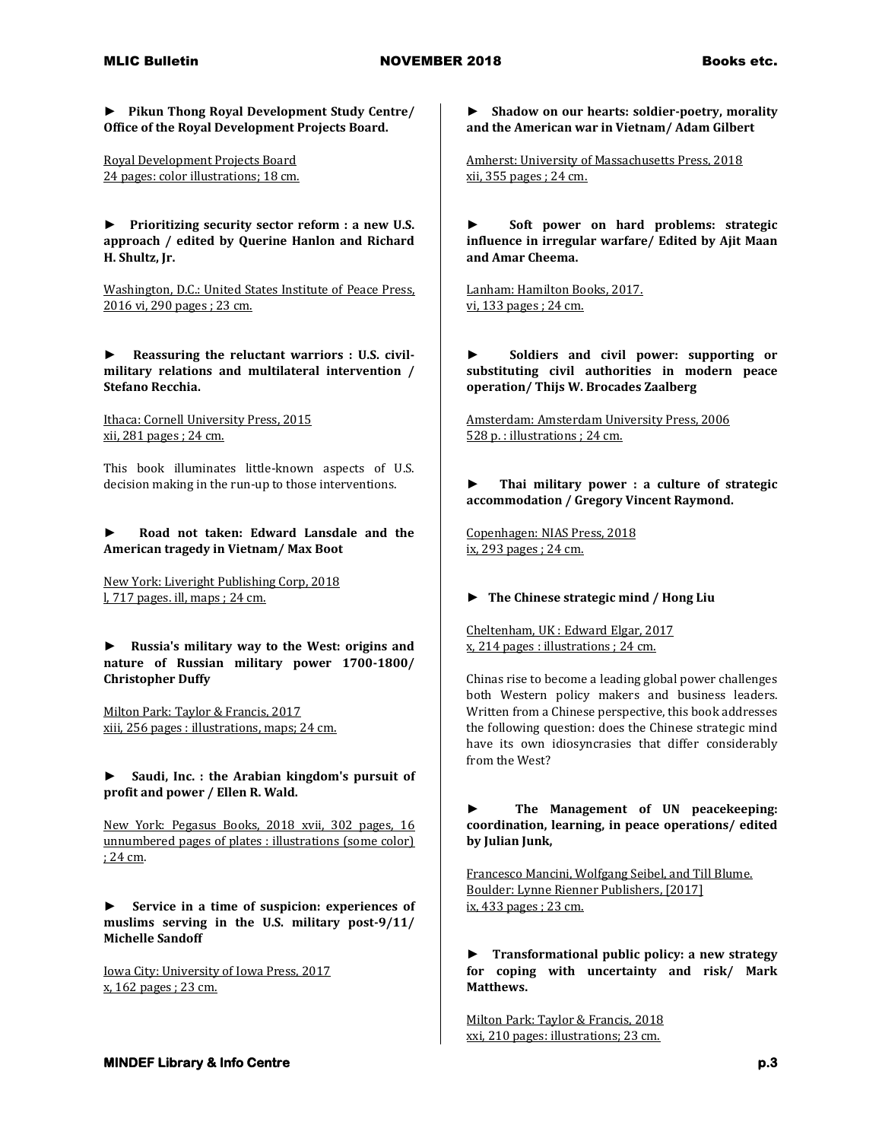**► Pikun Thong Royal Development Study Centre/ Office of the Royal Development Projects Board.**

Royal Development Projects Board 24 pages: color illustrations; 18 cm.

**► Prioritizing security sector reform : a new U.S. approach / edited by Querine Hanlon and Richard H. Shultz, Jr.**

Washington, D.C.: United States Institute of Peace Press, 2016 vi, 290 pages ; 23 cm.

**► Reassuring the reluctant warriors : U.S. civilmilitary relations and multilateral intervention / Stefano Recchia.**

Ithaca: Cornell University Press, 2015 xii, 281 pages ; 24 cm.

This book illuminates little-known aspects of U.S. decision making in the run-up to those interventions.

## **► Road not taken: Edward Lansdale and the American tragedy in Vietnam/ Max Boot**

New York: Liveright Publishing Corp, 2018 l, 717 pages. ill, maps ; 24 cm.

**► Russia's military way to the West: origins and nature of Russian military power 1700-1800/ Christopher Duffy**

Milton Park: Taylor & Francis, 2017 xiii, 256 pages : illustrations, maps; 24 cm.

**► Saudi, Inc. : the Arabian kingdom's pursuit of profit and power / Ellen R. Wald.**

New York: Pegasus Books, 2018 xvii, 302 pages, 16 unnumbered pages of plates : illustrations (some color) ; 24 cm.

**► Service in a time of suspicion: experiences of muslims serving in the U.S. military post-9/11/ Michelle Sandoff**

Iowa City: University of Iowa Press, 2017 x, 162 pages ; 23 cm.

**► Shadow on our hearts: soldier-poetry, morality and the American war in Vietnam/ Adam Gilbert**

Amherst: University of Massachusetts Press, 2018 xii, 355 pages ; 24 cm.

**► Soft power on hard problems: strategic influence in irregular warfare/ Edited by Ajit Maan and Amar Cheema.**

Lanham: Hamilton Books, 2017. vi, 133 pages ; 24 cm.

**► Soldiers and civil power: supporting or substituting civil authorities in modern peace operation/ Thijs W. Brocades Zaalberg**

Amsterdam: Amsterdam University Press, 2006 528 p. : illustrations ; 24 cm.

**► Thai military power : a culture of strategic accommodation / Gregory Vincent Raymond.**

Copenhagen: NIAS Press, 2018 ix, 293 pages ; 24 cm.

## **► The Chinese strategic mind / Hong Liu**

Cheltenham, UK : Edward Elgar, 2017 x, 214 pages : illustrations ; 24 cm.

Chinas rise to become a leading global power challenges both Western policy makers and business leaders. Written from a Chinese perspective, this book addresses the following question: does the Chinese strategic mind have its own idiosyncrasies that differ considerably from the West?

**► The Management of UN peacekeeping: coordination, learning, in peace operations/ edited by Julian Junk,** 

Francesco Mancini, Wolfgang Seibel, and Till Blume. Boulder: Lynne Rienner Publishers, [2017] ix, 433 pages ; 23 cm.

**► Transformational public policy: a new strategy for coping with uncertainty and risk/ Mark Matthews.**

Milton Park: Taylor & Francis, 2018 xxi, 210 pages: illustrations; 23 cm.